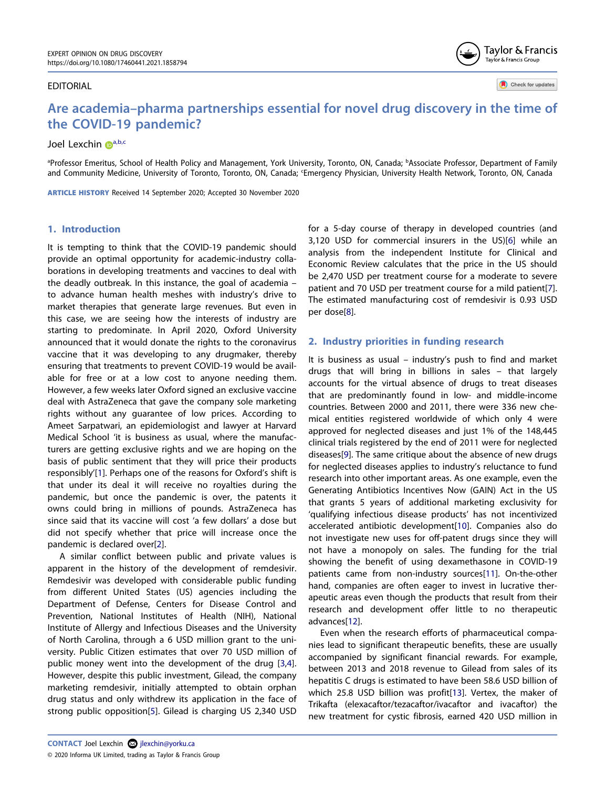#### EDITORIAL

**Are academia–pharma partnerships essential for novel drug discovery in the time of the COVID-19 pandemic?**

# Joel Lexchin D[a,b](#page-0-0)[,c](#page-0-1)

<span id="page-0-1"></span><span id="page-0-0"></span>ªProfessor Emeritus, School of Health Policy and Management, York University, Toronto, ON, Canada; <sup>b</sup>Associate Professor, Department of Family and Community Medicine, University of Toronto, Toronto, ON, Canada; Emergency Physician, University Health Network, Toronto, ON, Canada

**ARTICLE HISTORY** Received 14 September 2020; Accepted 30 November 2020

# **1. Introduction**

It is tempting to think that the COVID-19 pandemic should provide an optimal opportunity for academic-industry collaborations in developing treatments and vaccines to deal with the deadly outbreak. In this instance, the goal of academia – to advance human health meshes with industry's drive to market therapies that generate large revenues. But even in this case, we are seeing how the interests of industry are starting to predominate. In April 2020, Oxford University announced that it would donate the rights to the coronavirus vaccine that it was developing to any drugmaker, thereby ensuring that treatments to prevent COVID-19 would be available for free or at a low cost to anyone needing them. However, a few weeks later Oxford signed an exclusive vaccine deal with AstraZeneca that gave the company sole marketing rights without any guarantee of low prices. According to Ameet Sarpatwari, an epidemiologist and lawyer at Harvard Medical School 'it is business as usual, where the manufacturers are getting exclusive rights and we are hoping on the basis of public sentiment that they will price their products responsibly'[\[1](#page-3-0)]. Perhaps one of the reasons for Oxford's shift is that under its deal it will receive no royalties during the pandemic, but once the pandemic is over, the patents it owns could bring in millions of pounds. AstraZeneca has since said that its vaccine will cost 'a few dollars' a dose but did not specify whether that price will increase once the pandemic is declared over[[2\]](#page-3-1).

<span id="page-0-5"></span><span id="page-0-4"></span><span id="page-0-3"></span><span id="page-0-2"></span>A similar conflict between public and private values is apparent in the history of the development of remdesivir. Remdesivir was developed with considerable public funding from different United States (US) agencies including the Department of Defense, Centers for Disease Control and Prevention, National Institutes of Health (NIH), National Institute of Allergy and Infectious Diseases and the University of North Carolina, through a 6 USD million grant to the university. Public Citizen estimates that over 70 USD million of public money went into the development of the drug [\[3](#page-3-2)[,4](#page-3-3)]. However, despite this public investment, Gilead, the company marketing remdesivir, initially attempted to obtain orphan drug status and only withdrew its application in the face of strong public opposition[[5](#page-3-4)]. Gilead is charging US 2,340 USD

<span id="page-0-7"></span><span id="page-0-6"></span>for a 5-day course of therapy in developed countries (and 3,120 USD for commercial insurers in the US)[[6\]](#page-3-5) while an analysis from the independent Institute for Clinical and Economic Review calculates that the price in the US should be 2,470 USD per treatment course for a moderate to severe patient and 70 USD per treatment course for a mild patient[[7\]](#page-3-6). The estimated manufacturing cost of remdesivir is 0.93 USD per dose[[8\]](#page-3-7).

Taylor & Francis Taylor & Francis Group

Check for updates

# <span id="page-0-8"></span>**2. Industry priorities in funding research**

<span id="page-0-9"></span>It is business as usual – industry's push to find and market drugs that will bring in billions in sales – that largely accounts for the virtual absence of drugs to treat diseases that are predominantly found in low- and middle-income countries. Between 2000 and 2011, there were 336 new chemical entities registered worldwide of which only 4 were approved for neglected diseases and just 1% of the 148,445 clinical trials registered by the end of 2011 were for neglected diseases[\[9](#page-3-8)]. The same critique about the absence of new drugs for neglected diseases applies to industry's reluctance to fund research into other important areas. As one example, even the Generating Antibiotics Incentives Now (GAIN) Act in the US that grants 5 years of additional marketing exclusivity for 'qualifying infectious disease products' has not incentivized accelerated antibiotic development[[10](#page-3-9)]. Companies also do not investigate new uses for off-patent drugs since they will not have a monopoly on sales. The funding for the trial showing the benefit of using dexamethasone in COVID-19 patients came from non-industry sources[\[11](#page-3-10)]. On-the-other hand, companies are often eager to invest in lucrative therapeutic areas even though the products that result from their research and development offer little to no therapeutic advances[[12](#page-3-11)].

<span id="page-0-13"></span><span id="page-0-12"></span><span id="page-0-11"></span><span id="page-0-10"></span>Even when the research efforts of pharmaceutical companies lead to significant therapeutic benefits, these are usually accompanied by significant financial rewards. For example, between 2013 and 2018 revenue to Gilead from sales of its hepatitis C drugs is estimated to have been 58.6 USD billion of which 25.8 USD billion was profit[[13](#page-3-12)]. Vertex, the maker of Trikafta (elexacaftor/tezacaftor/ivacaftor and ivacaftor) the new treatment for cystic fibrosis, earned 420 USD million in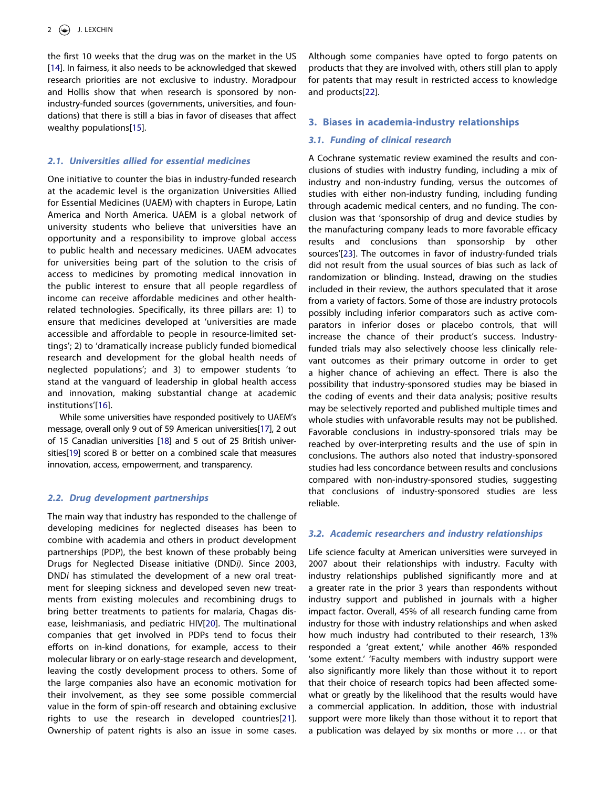<span id="page-1-0"></span>the first 10 weeks that the drug was on the market in the US [[14](#page-3-13)]. In fairness, it also needs to be acknowledged that skewed research priorities are not exclusive to industry. Moradpour and Hollis show that when research is sponsored by nonindustry-funded sources (governments, universities, and foundations) that there is still a bias in favor of diseases that affect wealthy populations[[15\]](#page-3-14).

### <span id="page-1-1"></span>*2.1. Universities allied for essential medicines*

One initiative to counter the bias in industry-funded research at the academic level is the organization Universities Allied for Essential Medicines (UAEM) with chapters in Europe, Latin America and North America. UAEM is a global network of university students who believe that universities have an opportunity and a responsibility to improve global access to public health and necessary medicines. UAEM advocates for universities being part of the solution to the crisis of access to medicines by promoting medical innovation in the public interest to ensure that all people regardless of income can receive affordable medicines and other healthrelated technologies. Specifically, its three pillars are: 1) to ensure that medicines developed at 'universities are made accessible and affordable to people in resource-limited settings'; 2) to 'dramatically increase publicly funded biomedical research and development for the global health needs of neglected populations'; and 3) to empower students 'to stand at the vanguard of leadership in global health access and innovation, making substantial change at academic institutions'[[16\]](#page-3-15).

<span id="page-1-5"></span><span id="page-1-4"></span><span id="page-1-3"></span><span id="page-1-2"></span>While some universities have responded positively to UAEM's message, overall only 9 out of 59 American universities[\[17](#page-3-16)], 2 out of 15 Canadian universities [\[18](#page-3-17)] and 5 out of 25 British universities[\[19\]](#page-3-18) scored B or better on a combined scale that measures innovation, access, empowerment, and transparency.

### *2.2. Drug development partnerships*

<span id="page-1-7"></span><span id="page-1-6"></span>The main way that industry has responded to the challenge of developing medicines for neglected diseases has been to combine with academia and others in product development partnerships (PDP), the best known of these probably being Drugs for Neglected Disease initiative (DND*i)*. Since 2003, DND*i* has stimulated the development of a new oral treatment for sleeping sickness and developed seven new treatments from existing molecules and recombining drugs to bring better treatments to patients for malaria, Chagas disease, leishmaniasis, and pediatric HIV[\[20\]](#page-3-19). The multinational companies that get involved in PDPs tend to focus their efforts on in-kind donations, for example, access to their molecular library or on early-stage research and development, leaving the costly development process to others. Some of the large companies also have an economic motivation for their involvement, as they see some possible commercial value in the form of spin-off research and obtaining exclusive rights to use the research in developed countries[\[21\]](#page-3-20). Ownership of patent rights is also an issue in some cases.

<span id="page-1-8"></span>Although some companies have opted to forgo patents on products that they are involved with, others still plan to apply for patents that may result in restricted access to knowledge and products[[22\]](#page-3-21).

#### **3. Biases in academia-industry relationships**

#### *3.1. Funding of clinical research*

<span id="page-1-9"></span>A Cochrane systematic review examined the results and conclusions of studies with industry funding, including a mix of industry and non-industry funding, versus the outcomes of studies with either non-industry funding, including funding through academic medical centers, and no funding. The conclusion was that 'sponsorship of drug and device studies by the manufacturing company leads to more favorable efficacy results and conclusions than sponsorship by other sources'[[23\]](#page-3-22). The outcomes in favor of industry-funded trials did not result from the usual sources of bias such as lack of randomization or blinding. Instead, drawing on the studies included in their review, the authors speculated that it arose from a variety of factors. Some of those are industry protocols possibly including inferior comparators such as active comparators in inferior doses or placebo controls, that will increase the chance of their product's success. Industryfunded trials may also selectively choose less clinically relevant outcomes as their primary outcome in order to get a higher chance of achieving an effect. There is also the possibility that industry-sponsored studies may be biased in the coding of events and their data analysis; positive results may be selectively reported and published multiple times and whole studies with unfavorable results may not be published. Favorable conclusions in industry-sponsored trials may be reached by over-interpreting results and the use of spin in conclusions. The authors also noted that industry-sponsored studies had less concordance between results and conclusions compared with non-industry-sponsored studies, suggesting that conclusions of industry-sponsored studies are less reliable.

#### *3.2. Academic researchers and industry relationships*

Life science faculty at American universities were surveyed in 2007 about their relationships with industry. Faculty with industry relationships published significantly more and at a greater rate in the prior 3 years than respondents without industry support and published in journals with a higher impact factor. Overall, 45% of all research funding came from industry for those with industry relationships and when asked how much industry had contributed to their research, 13% responded a 'great extent,' while another 46% responded 'some extent.' 'Faculty members with industry support were also significantly more likely than those without it to report that their choice of research topics had been affected somewhat or greatly by the likelihood that the results would have a commercial application. In addition, those with industrial support were more likely than those without it to report that a publication was delayed by six months or more . . . or that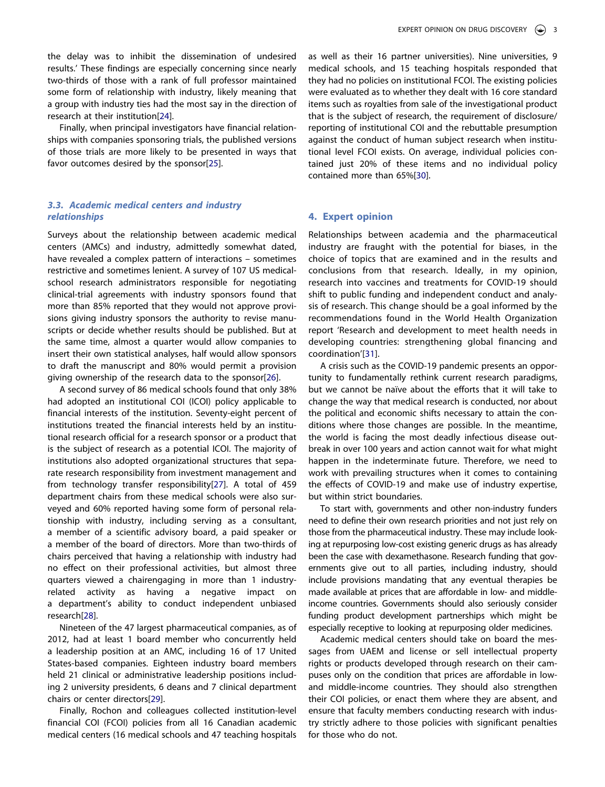the delay was to inhibit the dissemination of undesired results.' These findings are especially concerning since nearly two-thirds of those with a rank of full professor maintained some form of relationship with industry, likely meaning that a group with industry ties had the most say in the direction of research at their institution[[24\]](#page-3-23).

<span id="page-2-1"></span><span id="page-2-0"></span>Finally, when principal investigators have financial relationships with companies sponsoring trials, the published versions of those trials are more likely to be presented in ways that favor outcomes desired by the sponsor[\[25\]](#page-3-24).

# *3.3. Academic medical centers and industry relationships*

Surveys about the relationship between academic medical centers (AMCs) and industry, admittedly somewhat dated, have revealed a complex pattern of interactions – sometimes restrictive and sometimes lenient. A survey of 107 US medicalschool research administrators responsible for negotiating clinical-trial agreements with industry sponsors found that more than 85% reported that they would not approve provisions giving industry sponsors the authority to revise manuscripts or decide whether results should be published. But at the same time, almost a quarter would allow companies to insert their own statistical analyses, half would allow sponsors to draft the manuscript and 80% would permit a provision giving ownership of the research data to the sponsor[\[26](#page-4-0)].

<span id="page-2-3"></span><span id="page-2-2"></span>A second survey of 86 medical schools found that only 38% had adopted an institutional COI (ICOI) policy applicable to financial interests of the institution. Seventy-eight percent of institutions treated the financial interests held by an institutional research official for a research sponsor or a product that is the subject of research as a potential ICOI. The majority of institutions also adopted organizational structures that separate research responsibility from investment management and from technology transfer responsibility[\[27](#page-4-1)]. A total of 459 department chairs from these medical schools were also surveyed and 60% reported having some form of personal relationship with industry, including serving as a consultant, a member of a scientific advisory board, a paid speaker or a member of the board of directors. More than two-thirds of chairs perceived that having a relationship with industry had no effect on their professional activities, but almost three quarters viewed a chairengaging in more than 1 industryrelated activity as having a negative impact on a department's ability to conduct independent unbiased research[\[28](#page-4-2)].

<span id="page-2-4"></span>Nineteen of the 47 largest pharmaceutical companies, as of 2012, had at least 1 board member who concurrently held a leadership position at an AMC, including 16 of 17 United States-based companies. Eighteen industry board members held 21 clinical or administrative leadership positions including 2 university presidents, 6 deans and 7 clinical department chairs or center directors[[29\]](#page-4-3).

<span id="page-2-5"></span>Finally, Rochon and colleagues collected institution-level financial COI (FCOI) policies from all 16 Canadian academic medical centers (16 medical schools and 47 teaching hospitals

as well as their 16 partner universities). Nine universities, 9 medical schools, and 15 teaching hospitals responded that they had no policies on institutional FCOI. The existing policies were evaluated as to whether they dealt with 16 core standard items such as royalties from sale of the investigational product that is the subject of research, the requirement of disclosure/ reporting of institutional COI and the rebuttable presumption against the conduct of human subject research when institutional level FCOI exists. On average, individual policies contained just 20% of these items and no individual policy contained more than 65%[\[30](#page-4-4)].

### <span id="page-2-6"></span>**4. Expert opinion**

Relationships between academia and the pharmaceutical industry are fraught with the potential for biases, in the choice of topics that are examined and in the results and conclusions from that research. Ideally, in my opinion, research into vaccines and treatments for COVID-19 should shift to public funding and independent conduct and analysis of research. This change should be a goal informed by the recommendations found in the World Health Organization report 'Research and development to meet health needs in developing countries: strengthening global financing and coordination'[[31\]](#page-4-5).

<span id="page-2-7"></span>A crisis such as the COVID-19 pandemic presents an opportunity to fundamentally rethink current research paradigms, but we cannot be naïve about the efforts that it will take to change the way that medical research is conducted, nor about the political and economic shifts necessary to attain the conditions where those changes are possible. In the meantime, the world is facing the most deadly infectious disease outbreak in over 100 years and action cannot wait for what might happen in the indeterminate future. Therefore, we need to work with prevailing structures when it comes to containing the effects of COVID-19 and make use of industry expertise, but within strict boundaries.

To start with, governments and other non-industry funders need to define their own research priorities and not just rely on those from the pharmaceutical industry. These may include looking at repurposing low-cost existing generic drugs as has already been the case with dexamethasone. Research funding that governments give out to all parties, including industry, should include provisions mandating that any eventual therapies be made available at prices that are affordable in low- and middleincome countries. Governments should also seriously consider funding product development partnerships which might be especially receptive to looking at repurposing older medicines.

Academic medical centers should take on board the messages from UAEM and license or sell intellectual property rights or products developed through research on their campuses only on the condition that prices are affordable in lowand middle-income countries. They should also strengthen their COI policies, or enact them where they are absent, and ensure that faculty members conducting research with industry strictly adhere to those policies with significant penalties for those who do not.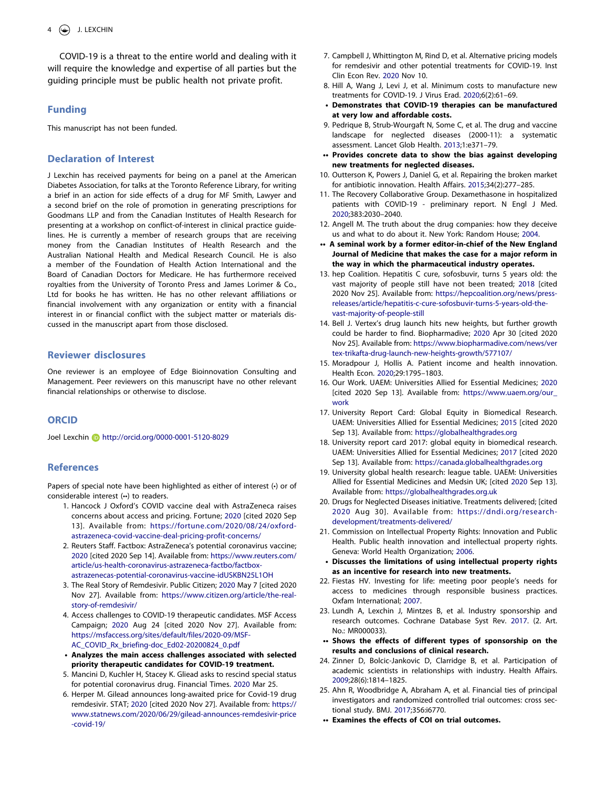COVID-19 is a threat to the entire world and dealing with it will require the knowledge and expertise of all parties but the guiding principle must be public health not private profit.

# **Funding**

This manuscript has not been funded.

### **Declaration of Interest**

J Lexchin has received payments for being on a panel at the American Diabetes Association, for talks at the Toronto Reference Library, for writing a brief in an action for side effects of a drug for MF Smith, Lawyer and a second brief on the role of promotion in generating prescriptions for Goodmans LLP and from the Canadian Institutes of Health Research for presenting at a workshop on conflict-of-interest in clinical practice guidelines. He is currently a member of research groups that are receiving money from the Canadian Institutes of Health Research and the Australian National Health and Medical Research Council. He is also a member of the Foundation of Health Action International and the Board of Canadian Doctors for Medicare. He has furthermore received royalties from the University of Toronto Press and James Lorimer & Co., Ltd for books he has written. He has no other relevant affiliations or financial involvement with any organization or entity with a financial interest in or financial conflict with the subject matter or materials discussed in the manuscript apart from those disclosed.

### **Reviewer disclosures**

One reviewer is an employee of Edge Bioinnovation Consulting and Management. Peer reviewers on this manuscript have no other relevant financial relationships or otherwise to disclose.

### **ORCID**

Joel Lexchin (b) http://orcid.org/0000-0001-5120-8029

## **References**

Papers of special note have been highlighted as either of interest (•) or of considerable interest (••) to readers.

- <span id="page-3-0"></span>1. Hancock J Oxford's COVID vaccine deal with AstraZeneca raises concerns about access and pricing. Fortune; [2020](#page-0-2) [cited 2020 Sep 13]. Available from: [https://fortune.com/2020/08/24/oxford](https://fortune.com/2020/08/24/oxford-astrazeneca-covid-vaccine-deal-pricing-profit-concerns/)[astrazeneca-covid-vaccine-deal-pricing-profit-concerns/](https://fortune.com/2020/08/24/oxford-astrazeneca-covid-vaccine-deal-pricing-profit-concerns/)
- <span id="page-3-1"></span>2. Reuters Staff. Factbox: AstraZeneca's potential coronavirus vaccine; [2020](#page-0-3) [cited 2020 Sep 14]. Available from: [https://www.reuters.com/](https://www.reuters.com/article/us-health-coronavirus-astrazeneca-factbo/factbox-astrazenecas-potential-coronavirus-vaccine-idUSKBN25L1OH)  [article/us-health-coronavirus-astrazeneca-factbo/factbox](https://www.reuters.com/article/us-health-coronavirus-astrazeneca-factbo/factbox-astrazenecas-potential-coronavirus-vaccine-idUSKBN25L1OH)[astrazenecas-potential-coronavirus-vaccine-idUSKBN25L1OH](https://www.reuters.com/article/us-health-coronavirus-astrazeneca-factbo/factbox-astrazenecas-potential-coronavirus-vaccine-idUSKBN25L1OH)
- <span id="page-3-2"></span>3. The Real Story of Remdesivir. Public Citizen; [2020](#page-0-4) May 7 [cited 2020 Nov 27]. Available from: [https://www.citizen.org/article/the-real](https://www.citizen.org/article/the-real-story-of-remdesivir/)[story-of-remdesivir/](https://www.citizen.org/article/the-real-story-of-remdesivir/)
- <span id="page-3-3"></span>4. Access challenges to COVID-19 therapeutic candidates. MSF Access Campaign; [2020](#page-0-4) Aug 24 [cited 2020 Nov 27]. Available from: [https://msfaccess.org/sites/default/files/2020-09/MSF-](https://msfaccess.org/sites/default/files/2020-09/MSF-AC_COVID_Rx_briefing-doc_Ed02-20200824_0.pdf)[AC\\_COVID\\_Rx\\_briefing-doc\\_Ed02-20200824\\_0.pdf](https://msfaccess.org/sites/default/files/2020-09/MSF-AC_COVID_Rx_briefing-doc_Ed02-20200824_0.pdf)
- **Analyzes the main access challenges associated with selected priority therapeutic candidates for COVID-19 treatment.**
- <span id="page-3-4"></span>5. Mancini D, Kuchler H, Stacey K. Gliead asks to rescind special status for potential coronavirus drug. Financial Times. [2020](#page-0-5) Mar 25.
- <span id="page-3-5"></span>6. Herper M. Gilead announces long-awaited price for Covid-19 drug remdesivir. STAT; [2020](#page-0-6) [cited 2020 Nov 27]. Available from: [https://](https://www.statnews.com/2020/06/29/gilead-announces-remdesivir-price-covid-19/)  [www.statnews.com/2020/06/29/gilead-announces-remdesivir-price](https://www.statnews.com/2020/06/29/gilead-announces-remdesivir-price-covid-19/)  [-covid-19/](https://www.statnews.com/2020/06/29/gilead-announces-remdesivir-price-covid-19/)
- <span id="page-3-6"></span>7. Campbell J, Whittington M, Rind D, et al. Alternative pricing models for remdesivir and other potential treatments for COVID-19. Inst Clin Econ Rev. [2020](#page-0-7) Nov 10.
- <span id="page-3-7"></span>8. Hill A, Wang J, Levi J, et al. Minimum costs to manufacture new treatments for COVID-19. J Virus Erad. [2020](#page-0-8);6(2):61–69.
- **Demonstrates that COVID-19 therapies can be manufactured at very low and affordable costs.**
- <span id="page-3-8"></span>9. Pedrique B, Strub-Wourgaft N, Some C, et al. The drug and vaccine landscape for neglected diseases (2000-11): a systematic assessment. Lancet Glob Health. [2013;](#page-0-9)1:e371–79.
- **•• Provides concrete data to show the bias against developing new treatments for neglected diseases.**
- <span id="page-3-9"></span>10. Outterson K, Powers J, Daniel G, et al. Repairing the broken market for antibiotic innovation. Health Affairs. [2015](#page-0-10);34(2):277–285.
- <span id="page-3-10"></span>11. The Recovery Collaborative Group. Dexamethasone in hospitalized patients with COVID-19 - preliminary report. N Engl J Med. [2020](#page-0-11);383:2030–2040.
- <span id="page-3-11"></span>12. Angell M. The truth about the drug companies: how they deceive us and what to do about it. New York: Random House; [2004](#page-0-12).
- **•• A seminal work by a former editor-in-chief of the New England Journal of Medicine that makes the case for a major reform in the way in which the pharmaceutical industry operates.**
- <span id="page-3-12"></span>13. hep Coalition. Hepatitis C cure, sofosbuvir, turns 5 years old: the vast majority of people still have not been treated; [2018](#page-0-13) [cited 2020 Nov 25]. Available from: [https://hepcoalition.org/news/press](https://hepcoalition.org/news/press-releases/article/hepatitis-c-cure-sofosbuvir-turns-5-years-old-the-vast-majority-of-people-still)[releases/article/hepatitis-c-cure-sofosbuvir-turns-5-years-old-the](https://hepcoalition.org/news/press-releases/article/hepatitis-c-cure-sofosbuvir-turns-5-years-old-the-vast-majority-of-people-still)[vast-majority-of-people-still](https://hepcoalition.org/news/press-releases/article/hepatitis-c-cure-sofosbuvir-turns-5-years-old-the-vast-majority-of-people-still)
- <span id="page-3-13"></span>14. Bell J. Vertex's drug launch hits new heights, but further growth could be harder to find. Biopharmadive; [2020](#page-1-0) Apr 30 [cited 2020 Nov 25]. Available from: [https://www.biopharmadive.com/news/ver](https://www.biopharmadive.com/news/vertex-trikafta-drug-launch-new-heights-growth/577107/) [tex-trikafta-drug-launch-new-heights-growth/577107/](https://www.biopharmadive.com/news/vertex-trikafta-drug-launch-new-heights-growth/577107/)
- <span id="page-3-14"></span>15. Moradpour J, Hollis A. Patient income and health innovation. Health Econ. [2020](#page-1-1);29:1795–1803.
- <span id="page-3-15"></span>16. Our Work. UAEM: Universities Allied for Essential Medicines; [2020](#page-1-2) [cited 2020 Sep 13]. Available from: https://www.uaem.org/our [work](https://www.uaem.org/our_work)
- <span id="page-3-16"></span>17. University Report Card: Global Equity in Biomedical Research. UAEM: Universities Allied for Essential Medicines; [2015](#page-1-3) [cited 2020 Sep 13]. Available from: <https://globalhealthgrades.org>
- <span id="page-3-17"></span>18. University report card 2017: global equity in biomedical research. UAEM: Universities Allied for Essential Medicines; [2017](#page-1-4) [cited 2020 Sep 13]. Available from: <https://canada.globalhealthgrades.org>
- <span id="page-3-18"></span>19. University global health research: league table. UAEM: Universities Allied for Essential Medicines and Medsin UK; [cited [2020](#page-1-5) Sep 13]. Available from: <https://globalhealthgrades.org.uk>
- <span id="page-3-19"></span>20. Drugs for Neglected Diseases initiative. Treatments delivered; [cited [2020](#page-1-6) Aug 30]. Available from: [https://dndi.org/research](https://dndi.org/research-development/treatments-delivered/)[development/treatments-delivered/](https://dndi.org/research-development/treatments-delivered/)
- <span id="page-3-20"></span>21. Commission on Intellectual Property Rights: Innovation and Public Health. Public health innovation and intellectual property rights. Geneva: World Health Organization; [2006.](#page-1-7)
- **Discusses the limitations of using intellectual property rights as an incentive for research into new treatments.**
- <span id="page-3-21"></span>22. Fiestas HV. Investing for life: meeting poor people's needs for access to medicines through responsible business practices. Oxfam International; [2007](#page-1-8).
- <span id="page-3-22"></span>23. Lundh A, Lexchin J, Mintzes B, et al. Industry sponsorship and research outcomes. Cochrane Database Syst Rev. [2017](#page-1-9). (2. Art.  $No \cdot MR000033$
- **•• Shows the effects of different types of sponsorship on the results and conclusions of clinical research.**
- <span id="page-3-23"></span>24. Zinner D, Bolcic-Jankovic D, Clarridge B, et al. Participation of academic scientists in relationships with industry. Health Affairs. [2009](#page-2-0);28(6):1814–1825.
- <span id="page-3-24"></span>25. Ahn R, Woodbridge A, Abraham A, et al. Financial ties of principal investigators and randomized controlled trial outcomes: cross sectional study. BMJ. [2017;](#page-2-1)356:i6770.
- **•• Examines the effects of COI on trial outcomes.**